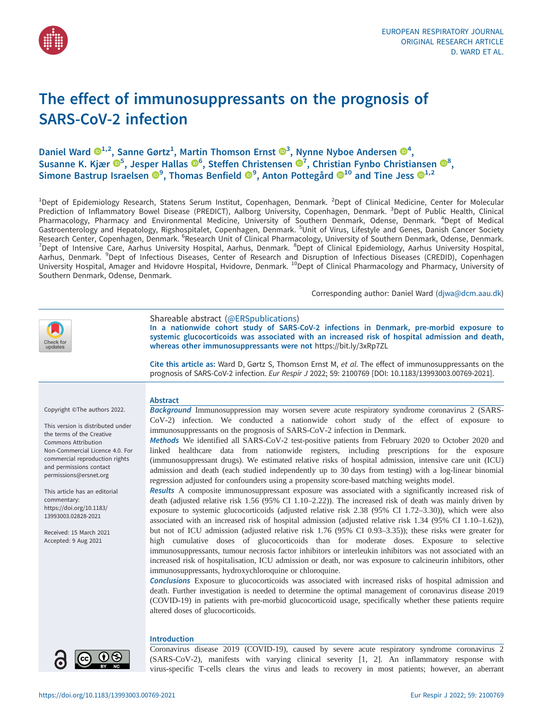

# The effect of immunosuppressants on the prognosis of SARS-CoV-2 infection

## Daniel Ward  $\mathbb{D}^{1,2}$ , Sanne Gørtz<sup>1</sup>, Martin Thomson Ernst  $\mathbb{D}^3$ , Nynne Nyboe Andersen  $\mathbb{D}^4$ , Susanne K. Kjær  $\mathbb{D}^5$ , Jesper Hallas  $\mathbb{D}^6$  $\mathbb{D}^6$ , Steffen Christensen  $\mathbb{D}^7$  $\mathbb{D}^7$ , Christian Fynbo Christiansen  $\mathbb{D}^8$  $\mathbb{D}^8$ , Simone Bastrup Israelsen  $\mathbb{D}^9$  $\mathbb{D}^9$ , Thomas Benfield  $\mathbb{D}^9$ , Anton Pottegård  $\mathbb{D}^{10}$  $\mathbb{D}^{10}$  $\mathbb{D}^{10}$  and Tine Jess  $\mathbb{D}^{1,2}$

<sup>1</sup>Dept of Epidemiology Research, Statens Serum Institut, Copenhagen, Denmark. <sup>2</sup>Dept of Clinical Medicine, Center for Molecular Prediction of Inflammatory Bowel Disease (PREDICT), Aalborg University, Copenhagen, Denmark. <sup>3</sup>Dept of Public Health, Clinical Pharmacology, Pharmacy and Environmental Medicine, University of Southern Denmark, Odense, Denmark. <sup>4</sup>Dept of Medical Gastroenterology and Hepatology, Rigshospitalet, Copenhagen, Denmark. <sup>5</sup>Unit of Virus, Lifestyle and Genes, Danish Cancer Society Research Center, Copenhagen, Denmark. <sup>6</sup>Research Unit of Clinical Pharmacology, University of Southern Denmark, Odense, Denmark.<br>Thent of Intensive Care, Aarbus University Hospital, Aarbus, Denmark, <sup>8</sup>Dent of Clinical En Dept of Intensive Care, Aarhus University Hospital, Aarhus, Denmark. <sup>8</sup>Dept of Clinical Epidemiology, Aarhus University Hospital, Aarhus, Denmark. <sup>9</sup>Dept of Infectious Diseases, Center of Research and Disruption of Infectious Diseases (CREDID), Copenhagen University Hospital, Amager and Hvidovre Hospital, Hvidovre, Denmark. <sup>10</sup>Dept of Clinical Pharmacology and Pharmacy, University of Southern Denmark, Odense, Denmark.

Corresponding author: Daniel Ward ([djwa@dcm.aau.dk](mailto:djwa@dcm.aau.dk))

| <b>Abstract</b><br>Copyright ©The authors 2022.<br>This version is distributed under<br>immunosuppressants on the prognosis of SARS-CoV-2 infection in Denmark.<br>the terms of the Creative<br><b>Commons Attribution</b><br>Non-Commercial Licence 4.0. For<br>commercial reproduction rights<br>and permissions contact<br>permissions@ersnet.org<br>regression adjusted for confounders using a propensity score-based matching weights model.<br>This article has an editorial<br>commentary:<br>https://doi.org/10.1183/<br>13993003.02828-2021<br>Received: 15 March 2021<br>Accepted: 9 Aug 2021<br>immunosuppressants, hydroxychloroquine or chloroquine. | Check for<br>updates | Shareable abstract (@ERSpublications)<br>In a nationwide cohort study of SARS-CoV-2 infections in Denmark, pre-morbid exposure to<br>systemic glucocorticoids was associated with an increased risk of hospital admission and death,<br>whereas other immunosuppressants were not https://bit.ly/3xRp7ZL<br>Cite this article as: Ward D, Gørtz S, Thomson Ernst M, et al. The effect of immunosuppressants on the<br>prognosis of SARS-CoV-2 infection. Eur Respir J 2022; 59: 2100769 [DOI: 10.1183/13993003.00769-2021].                                                                                                                                                                                                                                                                                                                                                                                                                                                                                                                                                                                                                                                                                                                                                                                                                                                                                                                                                                                                                                                                                                                                                                                                                                                                                                                                                                                                      |
|--------------------------------------------------------------------------------------------------------------------------------------------------------------------------------------------------------------------------------------------------------------------------------------------------------------------------------------------------------------------------------------------------------------------------------------------------------------------------------------------------------------------------------------------------------------------------------------------------------------------------------------------------------------------|----------------------|----------------------------------------------------------------------------------------------------------------------------------------------------------------------------------------------------------------------------------------------------------------------------------------------------------------------------------------------------------------------------------------------------------------------------------------------------------------------------------------------------------------------------------------------------------------------------------------------------------------------------------------------------------------------------------------------------------------------------------------------------------------------------------------------------------------------------------------------------------------------------------------------------------------------------------------------------------------------------------------------------------------------------------------------------------------------------------------------------------------------------------------------------------------------------------------------------------------------------------------------------------------------------------------------------------------------------------------------------------------------------------------------------------------------------------------------------------------------------------------------------------------------------------------------------------------------------------------------------------------------------------------------------------------------------------------------------------------------------------------------------------------------------------------------------------------------------------------------------------------------------------------------------------------------------------|
| altered doses of glucocorticoids.<br><b>Introduction</b>                                                                                                                                                                                                                                                                                                                                                                                                                                                                                                                                                                                                           |                      | Background Immunosuppression may worsen severe acute respiratory syndrome coronavirus 2 (SARS-<br>CoV-2) infection. We conducted a nationwide cohort study of the effect of exposure to<br>Methods We identified all SARS-CoV-2 test-positive patients from February 2020 to October 2020 and<br>linked healthcare data from nationwide registers, including prescriptions for the exposure<br>(immunosuppressant drugs). We estimated relative risks of hospital admission, intensive care unit (ICU)<br>admission and death (each studied independently up to 30 days from testing) with a log-linear binomial<br>Results A composite immunosuppressant exposure was associated with a significantly increased risk of<br>death (adjusted relative risk 1.56 (95% CI 1.10–2.22)). The increased risk of death was mainly driven by<br>exposure to systemic glucocorticoids (adjusted relative risk 2.38 (95% CI 1.72-3.30)), which were also<br>associated with an increased risk of hospital admission (adjusted relative risk 1.34 (95% CI 1.10-1.62)),<br>but not of ICU admission (adjusted relative risk 1.76 (95% CI 0.93-3.35)); these risks were greater for<br>high cumulative doses of glucocorticoids than for moderate doses. Exposure to selective<br>immunosuppressants, tumour necrosis factor inhibitors or interleukin inhibitors was not associated with an<br>increased risk of hospitalisation, ICU admission or death, nor was exposure to calcineurin inhibitors, other<br>Conclusions Exposure to glucocorticoids was associated with increased risks of hospital admission and<br>death. Further investigation is needed to determine the optimal management of coronavirus disease 2019<br>(COVID-19) in patients with pre-morbid glucocorticoid usage, specifically whether these patients require<br>Coronavirus disease 2019 (COVID-19), caused by severe acute respiratory syndrome coronavirus 2 |



Coronavirus disease 2019 (COVID-19), caused by severe acute respiratory syndrome coronavirus 2 (SARS-CoV-2), manifests with varying clinical severity [[1](#page-7-0), [2\]](#page-7-0). An inflammatory response with virus-specific T-cells clears the virus and leads to recovery in most patients; however, an aberrant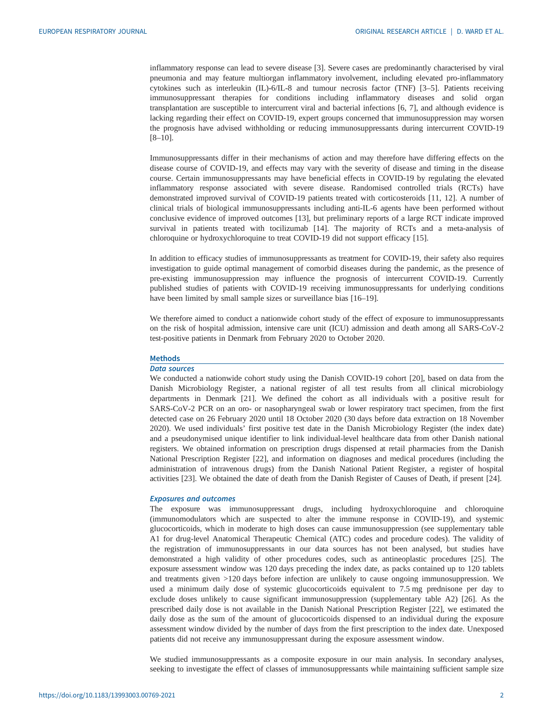inflammatory response can lead to severe disease [[3](#page-7-0)]. Severe cases are predominantly characterised by viral pneumonia and may feature multiorgan inflammatory involvement, including elevated pro-inflammatory cytokines such as interleukin (IL)-6/IL-8 and tumour necrosis factor (TNF) [[3](#page-7-0)–[5](#page-7-0)]. Patients receiving immunosuppressant therapies for conditions including inflammatory diseases and solid organ transplantation are susceptible to intercurrent viral and bacterial infections [\[6, 7\]](#page-7-0), and although evidence is lacking regarding their effect on COVID-19, expert groups concerned that immunosuppression may worsen the prognosis have advised withholding or reducing immunosuppressants during intercurrent COVID-19 [\[8](#page-7-0)–[10](#page-7-0)].

Immunosuppressants differ in their mechanisms of action and may therefore have differing effects on the disease course of COVID-19, and effects may vary with the severity of disease and timing in the disease course. Certain immunosuppressants may have beneficial effects in COVID-19 by regulating the elevated inflammatory response associated with severe disease. Randomised controlled trials (RCTs) have demonstrated improved survival of COVID-19 patients treated with corticosteroids [\[11](#page-7-0), [12\]](#page-7-0). A number of clinical trials of biological immunosuppressants including anti-IL-6 agents have been performed without conclusive evidence of improved outcomes [[13\]](#page-7-0), but preliminary reports of a large RCT indicate improved survival in patients treated with tocilizumab [[14\]](#page-7-0). The majority of RCTs and a meta-analysis of chloroquine or hydroxychloroquine to treat COVID-19 did not support efficacy [\[15](#page-7-0)].

In addition to efficacy studies of immunosuppressants as treatment for COVID-19, their safety also requires investigation to guide optimal management of comorbid diseases during the pandemic, as the presence of pre-existing immunosuppression may influence the prognosis of intercurrent COVID-19. Currently published studies of patients with COVID-19 receiving immunosuppressants for underlying conditions have been limited by small sample sizes or surveillance bias [[16](#page-8-0)–[19](#page-8-0)].

We therefore aimed to conduct a nationwide cohort study of the effect of exposure to immunosuppressants on the risk of hospital admission, intensive care unit (ICU) admission and death among all SARS-CoV-2 test-positive patients in Denmark from February 2020 to October 2020.

#### Methods

## Data sources

We conducted a nationwide cohort study using the Danish COVID-19 cohort [\[20](#page-8-0)], based on data from the Danish Microbiology Register, a national register of all test results from all clinical microbiology departments in Denmark [\[21](#page-8-0)]. We defined the cohort as all individuals with a positive result for SARS-CoV-2 PCR on an oro- or nasopharyngeal swab or lower respiratory tract specimen, from the first detected case on 26 February 2020 until 18 October 2020 (30 days before data extraction on 18 November 2020). We used individuals' first positive test date in the Danish Microbiology Register (the index date) and a pseudonymised unique identifier to link individual-level healthcare data from other Danish national registers. We obtained information on prescription drugs dispensed at retail pharmacies from the Danish National Prescription Register [\[22](#page-8-0)], and information on diagnoses and medical procedures (including the administration of intravenous drugs) from the Danish National Patient Register, a register of hospital activities [[23\]](#page-8-0). We obtained the date of death from the Danish Register of Causes of Death, if present [\[24](#page-8-0)].

#### Exposures and outcomes

The exposure was immunosuppressant drugs, including hydroxychloroquine and chloroquine (immunomodulators which are suspected to alter the immune response in COVID-19), and systemic glucocorticoids, which in moderate to high doses can cause immunosuppression (see [supplementary table](http://erj.ersjournals.com/lookup/doi/10.1183/13993003.00769-2021.figures-only#fig-data-supplementary-materials) [A1](http://erj.ersjournals.com/lookup/doi/10.1183/13993003.00769-2021.figures-only#fig-data-supplementary-materials) for drug-level Anatomical Therapeutic Chemical (ATC) codes and procedure codes). The validity of the registration of immunosuppressants in our data sources has not been analysed, but studies have demonstrated a high validity of other procedures codes, such as antineoplastic procedures [[25\]](#page-8-0). The exposure assessment window was 120 days preceding the index date, as packs contained up to 120 tablets and treatments given >120 days before infection are unlikely to cause ongoing immunosuppression. We used a minimum daily dose of systemic glucocorticoids equivalent to 7.5 mg prednisone per day to exclude doses unlikely to cause significant immunosuppression ([supplementary table A2](http://erj.ersjournals.com/lookup/doi/10.1183/13993003.00769-2021.figures-only#fig-data-supplementary-materials)) [\[26](#page-8-0)]. As the prescribed daily dose is not available in the Danish National Prescription Register [[22\]](#page-8-0), we estimated the daily dose as the sum of the amount of glucocorticoids dispensed to an individual during the exposure assessment window divided by the number of days from the first prescription to the index date. Unexposed patients did not receive any immunosuppressant during the exposure assessment window.

We studied immunosuppressants as a composite exposure in our main analysis. In secondary analyses, seeking to investigate the effect of classes of immunosuppressants while maintaining sufficient sample size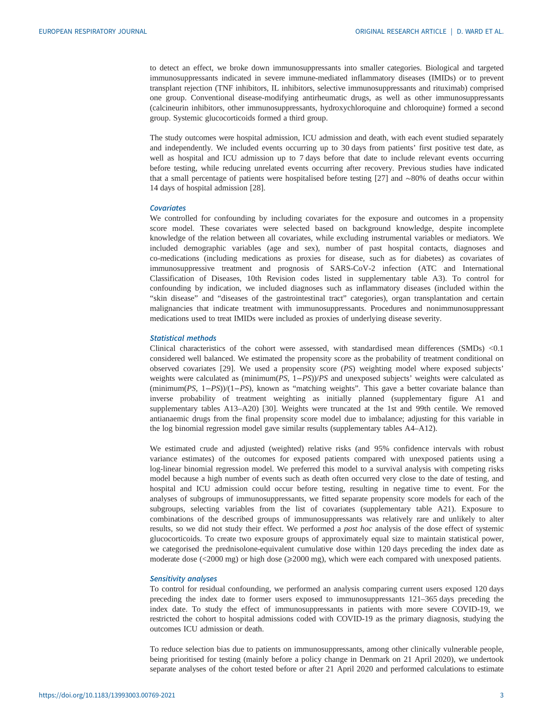to detect an effect, we broke down immunosuppressants into smaller categories. Biological and targeted immunosuppressants indicated in severe immune-mediated inflammatory diseases (IMIDs) or to prevent transplant rejection (TNF inhibitors, IL inhibitors, selective immunosuppressants and rituximab) comprised one group. Conventional disease-modifying antirheumatic drugs, as well as other immunosuppressants (calcineurin inhibitors, other immunosuppressants, hydroxychloroquine and chloroquine) formed a second group. Systemic glucocorticoids formed a third group.

The study outcomes were hospital admission, ICU admission and death, with each event studied separately and independently. We included events occurring up to 30 days from patients' first positive test date, as well as hospital and ICU admission up to 7 days before that date to include relevant events occurring before testing, while reducing unrelated events occurring after recovery. Previous studies have indicated that a small percentage of patients were hospitalised before testing [[27\]](#page-8-0) and ∼80% of deaths occur within 14 days of hospital admission [\[28](#page-8-0)].

## **Covariates**

We controlled for confounding by including covariates for the exposure and outcomes in a propensity score model. These covariates were selected based on background knowledge, despite incomplete knowledge of the relation between all covariates, while excluding instrumental variables or mediators. We included demographic variables (age and sex), number of past hospital contacts, diagnoses and co-medications (including medications as proxies for disease, such as for diabetes) as covariates of immunosuppressive treatment and prognosis of SARS-CoV-2 infection (ATC and International Classification of Diseases, 10th Revision codes listed in [supplementary table A3](http://erj.ersjournals.com/lookup/doi/10.1183/13993003.00769-2021.figures-only#fig-data-supplementary-materials)). To control for confounding by indication, we included diagnoses such as inflammatory diseases (included within the "skin disease" and "diseases of the gastrointestinal tract" categories), organ transplantation and certain malignancies that indicate treatment with immunosuppressants. Procedures and nonimmunosuppressant medications used to treat IMIDs were included as proxies of underlying disease severity.

## Statistical methods

Clinical characteristics of the cohort were assessed, with standardised mean differences (SMDs) <0.1 considered well balanced. We estimated the propensity score as the probability of treatment conditional on observed covariates [\[29](#page-8-0)]. We used a propensity score (PS) weighting model where exposed subjects' weights were calculated as (minimum(PS, 1–PS))/PS and unexposed subjects' weights were calculated as (minimum(PS, 1−PS))/(1−PS), known as "matching weights". This gave a better covariate balance than inverse probability of treatment weighting as initially planned [\(supplementary figure A1 and](http://erj.ersjournals.com/lookup/doi/10.1183/13993003.00769-2021.figures-only#fig-data-supplementary-materials) [supplementary tables A13](http://erj.ersjournals.com/lookup/doi/10.1183/13993003.00769-2021.figures-only#fig-data-supplementary-materials)–A20) [[30\]](#page-8-0). Weights were truncated at the 1st and 99th centile. We removed antianaemic drugs from the final propensity score model due to imbalance; adjusting for this variable in the log binomial regression model gave similar results [\(supplementary tables A4](http://erj.ersjournals.com/lookup/doi/10.1183/13993003.00769-2021.figures-only#fig-data-supplementary-materials)–A12).

We estimated crude and adjusted (weighted) relative risks (and 95% confidence intervals with robust variance estimates) of the outcomes for exposed patients compared with unexposed patients using a log-linear binomial regression model. We preferred this model to a survival analysis with competing risks model because a high number of events such as death often occurred very close to the date of testing, and hospital and ICU admission could occur before testing, resulting in negative time to event. For the analyses of subgroups of immunosuppressants, we fitted separate propensity score models for each of the subgroups, selecting variables from the list of covariates [\(supplementary table A21](http://erj.ersjournals.com/lookup/doi/10.1183/13993003.00769-2021.figures-only#fig-data-supplementary-materials)). Exposure to combinations of the described groups of immunosuppressants was relatively rare and unlikely to alter results, so we did not study their effect. We performed a post hoc analysis of the dose effect of systemic glucocorticoids. To create two exposure groups of approximately equal size to maintain statistical power, we categorised the prednisolone-equivalent cumulative dose within 120 days preceding the index date as moderate dose  $\leq$ 2000 mg) or high dose  $\geq$ 2000 mg), which were each compared with unexposed patients.

## Sensitivity analyses

To control for residual confounding, we performed an analysis comparing current users exposed 120 days preceding the index date to former users exposed to immunosuppressants 121–365 days preceding the index date. To study the effect of immunosuppressants in patients with more severe COVID-19, we restricted the cohort to hospital admissions coded with COVID-19 as the primary diagnosis, studying the outcomes ICU admission or death.

To reduce selection bias due to patients on immunosuppressants, among other clinically vulnerable people, being prioritised for testing (mainly before a policy change in Denmark on 21 April 2020), we undertook separate analyses of the cohort tested before or after 21 April 2020 and performed calculations to estimate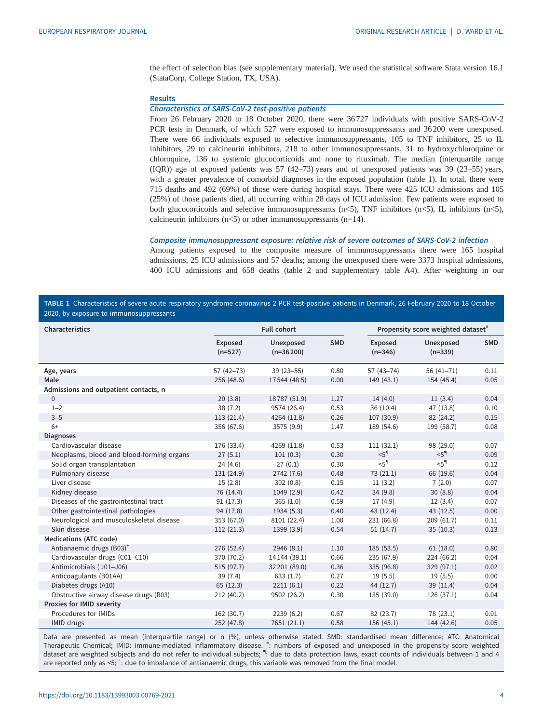<span id="page-3-0"></span>the effect of selection bias (see [supplementary material](http://erj.ersjournals.com/lookup/doi/10.1183/13993003.00769-2021.figures-only#fig-data-supplementary-materials)). We used the statistical software Stata version 16.1 (StataCorp, College Station, TX, USA).

#### **Results**

## Characteristics of SARS-CoV-2 test-positive patients

From 26 February 2020 to 18 October 2020, there were 36 727 individuals with positive SARS-CoV-2 PCR tests in Denmark, of which 527 were exposed to immunosuppressants and 36 200 were unexposed. There were 66 individuals exposed to selective immunosuppressants, 105 to TNF inhibitors, 25 to IL inhibitors, 29 to calcineurin inhibitors, 218 to other immunosuppressants, 31 to hydroxychloroquine or chloroquine, 136 to systemic glucocorticoids and none to rituximab. The median (interquartile range (IQR)) age of exposed patients was 57 (42–73) years and of unexposed patients was 39 (23–55) years, with a greater prevalence of comorbid diagnoses in the exposed population (table 1). In total, there were 715 deaths and 492 (69%) of those were during hospital stays. There were 425 ICU admissions and 105 (25%) of those patients died, all occurring within 28 days of ICU admission. Few patients were exposed to both glucocorticoids and selective immunosuppressants ( $n$ <5), TNF inhibitors ( $n$ <5), IL inhibitors ( $n$ <5), calcineurin inhibitors ( $n \leq 5$ ) or other immunosuppressants ( $n=14$ ).

#### Composite immunosuppressant exposure: relative risk of severe outcomes of SARS-CoV-2 infection

Among patients exposed to the composite measure of immunosuppressants there were 165 hospital admissions, 25 ICU admissions and 57 deaths; among the unexposed there were 3373 hospital admissions, 400 ICU admissions and 658 deaths ([table 2](#page-4-0) and [supplementary table A4\)](http://erj.ersjournals.com/lookup/doi/10.1183/13993003.00769-2021.figures-only#fig-data-supplementary-materials). After weighting in our

### TABLE 1 Characteristics of severe acute respiratory syndrome coronavirus 2 PCR test-positive patients in Denmark, 26 February 2020 to 18 October 2020, by exposure to immunosuppressants

| Characteristics                           | <b>Full cohort</b>   |                          |            | Propensity score weighted dataset <sup>#</sup> |                        |      |
|-------------------------------------------|----------------------|--------------------------|------------|------------------------------------------------|------------------------|------|
|                                           | Exposed<br>$(n=527)$ | Unexposed<br>$(n=36200)$ | <b>SMD</b> | <b>Exposed</b><br>$(n=346)$                    | Unexposed<br>$(n=339)$ | SMD  |
| Age, years                                | $57(42 - 73)$        | $39(23 - 55)$            | 0.80       | $57(43 - 74)$                                  | $56(41 - 71)$          | 0.11 |
| Male                                      | 256 (48.6)           | 17544 (48.5)             | 0.00       | 149(43.1)                                      | 154 (45.4)             | 0.05 |
| Admissions and outpatient contacts, n     |                      |                          |            |                                                |                        |      |
| $\mathbf 0$                               | 20(3.8)              | 18787 (51.9)             | 1.27       | 14(4.0)                                        | 11(3.4)                | 0.04 |
| $1 - 2$                                   | 38(7.2)              | 9574 (26.4)              | 0.53       | 36 (10.4)                                      | 47 (13.8)              | 0.10 |
| $3 - 5$                                   | 113 (21.4)           | 4264 (11.8)              | 0.26       | 107 (30.9)                                     | 82 (24.2)              | 0.15 |
| $6+$                                      | 356 (67.6)           | 3575 (9.9)               | 1.47       | 189 (54.6)                                     | 199 (58.7)             | 0.08 |
| <b>Diagnoses</b>                          |                      |                          |            |                                                |                        |      |
| Cardiovascular disease                    | 176 (33.4)           | 4269 (11.8)              | 0.53       | 111(32.1)                                      | 98 (29.0)              | 0.07 |
| Neoplasms, blood and blood-forming organs | 27(5.1)              | 101(0.3)                 | 0.30       | 5 <sup>q</sup>                                 | 5 <sup>q</sup>         | 0.09 |
| Solid organ transplantation               | 24(4.6)              | 27(0.1)                  | 0.30       | 5 <sup>q</sup>                                 | 5 <sup>q</sup>         | 0.12 |
| Pulmonary disease                         | 131 (24.9)           | 2742 (7.6)               | 0.48       | 73 (21.1)                                      | 66 (19.6)              | 0.04 |
| Liver disease                             | 15(2.8)              | 302(0.8)                 | 0.15       | 11(3.2)                                        | 7(2.0)                 | 0.07 |
| Kidney disease                            | 76 (14.4)            | 1049(2.9)                | 0.42       | 34(9.8)                                        | 30(8.8)                | 0.04 |
| Diseases of the gastrointestinal tract    | 91(17.3)             | 365(1.0)                 | 0.59       | 17(4.9)                                        | 12(3.4)                | 0.07 |
| Other gastrointestinal pathologies        | 94 (17.8)            | 1934 (5.3)               | 0.40       | 43(12.4)                                       | 43(12.5)               | 0.00 |
| Neurological and musculoskeletal disease  | 353 (67.0)           | 8101 (22.4)              | 1.00       | 231 (66.8)                                     | 209 (61.7)             | 0.11 |
| Skin disease                              | 112(21.3)            | 1399 (3.9)               | 0.54       | 51(14.7)                                       | 35(10.3)               | 0.13 |
| Medications (ATC code)                    |                      |                          |            |                                                |                        |      |
| Antianaemic drugs (B03) <sup>+</sup>      | 276 (52.4)           | 2946 (8.1)               | 1.10       | 185 (53.5)                                     | 61(18.0)               | 0.80 |
| Cardiovascular drugs (C01-C10)            | 370 (70.2)           | 14 144 (39.1)            | 0.66       | 235 (67.9)                                     | 224 (66.2)             | 0.04 |
| Antimicrobials (J01-J06)                  | 515 (97.7)           | 32 201 (89.0)            | 0.36       | 335 (96.8)                                     | 329 (97.1)             | 0.02 |
| Anticoagulants (B01AA)                    | 39(7.4)              | 633(1.7)                 | 0.27       | 19(5.5)                                        | 19(5.5)                | 0.00 |
| Diabetes drugs (A10)                      | 65(12.3)             | 2211(6.1)                | 0.22       | 44(12.7)                                       | 39(11.4)               | 0.04 |
| Obstructive airway disease drugs (R03)    | 212 (40.2)           | 9502 (26.2)              | 0.30       | 135 (39.0)                                     | 126 (37.1)             | 0.04 |
| Proxies for IMID severity                 |                      |                          |            |                                                |                        |      |
| Procedures for IMIDs                      | 162 (30.7)           | 2239 (6.2)               | 0.67       | 82 (23.7)                                      | 78 (23.1)              | 0.01 |
| <b>IMID drugs</b>                         | 252 (47.8)           | 7651 (21.1)              | 0.58       | 156(45.1)                                      | 144 (42.6)             | 0.05 |

Data are presented as mean (interquartile range) or n (%), unless otherwise stated. SMD: standardised mean difference; ATC: Anatomical Therapeutic Chemical; IMID: immune-mediated inflammatory disease. <sup>#</sup>: numbers of exposed and unexposed in the propensity score weighted<br>dataset are weighted subjects and do not refer to individual subjects; <sup>4</sup>: due to da are reported only as <5; <sup>+</sup>: due to imbalance of antianaemic drugs, this variable was removed from the final model.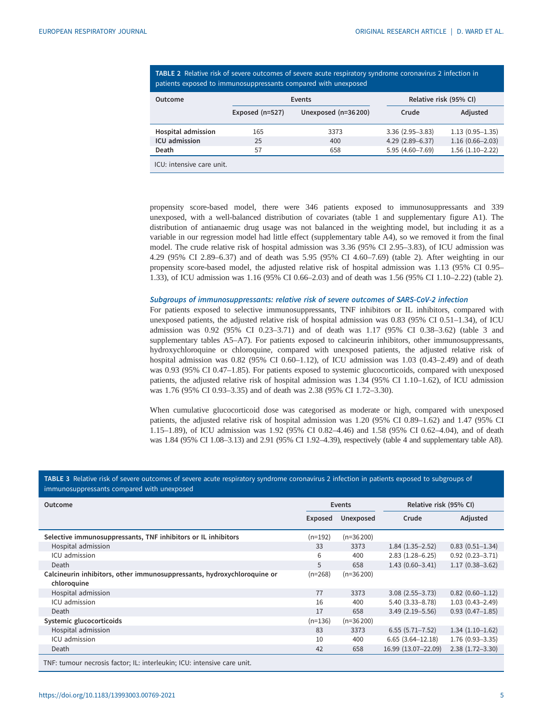<span id="page-4-0"></span>

| Outcome                   | Relative risk (95% CI)<br>Events |                     |                     |                     |  |
|---------------------------|----------------------------------|---------------------|---------------------|---------------------|--|
|                           | Exposed $(n=527)$                | Unexposed (n=36200) | Crude               | Adjusted            |  |
| <b>Hospital admission</b> | 165                              | 3373                | $3.36(2.95 - 3.83)$ | $1.13(0.95 - 1.35)$ |  |
| ICU admission             | 25                               | 400                 | $4.29(2.89 - 6.37)$ | $1.16(0.66 - 2.03)$ |  |
| Death                     | 57                               | 658                 | $5.95(4.60 - 7.69)$ | $1.56(1.10-2.22)$   |  |

TABLE 2 Relative risk of severe outcomes of severe acute respiratory

propensity score-based model, there were 346 patients exposed to immunosuppressants and 339 unexposed, with a well-balanced distribution of covariates ([table 1](#page-3-0) and [supplementary figure A1\)](http://erj.ersjournals.com/lookup/doi/10.1183/13993003.00769-2021.figures-only#fig-data-supplementary-materials). The distribution of antianaemic drug usage was not balanced in the weighting model, but including it as a variable in our regression model had little effect ([supplementary table A4\)](http://erj.ersjournals.com/lookup/doi/10.1183/13993003.00769-2021.figures-only#fig-data-supplementary-materials), so we removed it from the final model. The crude relative risk of hospital admission was 3.36 (95% CI 2.95–3.83), of ICU admission was 4.29 (95% CI 2.89–6.37) and of death was 5.95 (95% CI 4.60–7.69) (table 2). After weighting in our propensity score-based model, the adjusted relative risk of hospital admission was 1.13 (95% CI 0.95– 1.33), of ICU admission was 1.16 (95% CI 0.66–2.03) and of death was 1.56 (95% CI 1.10–2.22) (table 2).

#### Subgroups of immunosuppressants: relative risk of severe outcomes of SARS-CoV-2 infection

For patients exposed to selective immunosuppressants, TNF inhibitors or IL inhibitors, compared with unexposed patients, the adjusted relative risk of hospital admission was 0.83 (95% CI 0.51–1.34), of ICU admission was 0.92 (95% CI 0.23–3.71) and of death was 1.17 (95% CI 0.38–3.62) (table 3 and [supplementary tables A5](http://erj.ersjournals.com/lookup/doi/10.1183/13993003.00769-2021.figures-only#fig-data-supplementary-materials)–A7). For patients exposed to calcineurin inhibitors, other immunosuppressants, hydroxychloroquine or chloroquine, compared with unexposed patients, the adjusted relative risk of hospital admission was 0.82 (95% CI 0.60-1.12), of ICU admission was 1.03 (0.43-2.49) and of death was 0.93 (95% CI 0.47–1.85). For patients exposed to systemic glucocorticoids, compared with unexposed patients, the adjusted relative risk of hospital admission was 1.34 (95% CI 1.10–1.62), of ICU admission was 1.76 (95% CI 0.93–3.35) and of death was 2.38 (95% CI 1.72–3.30).

When cumulative glucocorticoid dose was categorised as moderate or high, compared with unexposed patients, the adjusted relative risk of hospital admission was 1.20 (95% CI 0.89–1.62) and 1.47 (95% CI 1.15–1.89), of ICU admission was 1.92 (95% CI 0.82–4.46) and 1.58 (95% CI 0.62–4.04), and of death was 1.84 (95% CI 1.08–3.13) and 2.91 (95% CI 1.92–4.39), respectively [\(table 4](#page-5-0) and [supplementary table A8\)](http://erj.ersjournals.com/lookup/doi/10.1183/13993003.00769-2021.figures-only#fig-data-supplementary-materials).

| miniquosuppiessants compared with unexposed                                            |         |             |                        |                        |  |  |
|----------------------------------------------------------------------------------------|---------|-------------|------------------------|------------------------|--|--|
| Outcome                                                                                | Events  |             | Relative risk (95% CI) |                        |  |  |
|                                                                                        | Exposed | Unexposed   | Crude                  | Adjusted               |  |  |
| Selective immunosuppressants, TNF inhibitors or IL inhibitors                          | (n=192) | $(n=36200)$ |                        |                        |  |  |
| Hospital admission                                                                     | 33      | 3373        | $1.84(1.35 - 2.52)$    | $0.83(0.51 - 1.34)$    |  |  |
| ICU admission                                                                          | 6       | 400         | $2.83(1.28 - 6.25)$    | $0.92$ $(0.23 - 3.71)$ |  |  |
| Death                                                                                  | 5       | 658         | $1.43(0.60 - 3.41)$    | $1.17(0.38 - 3.62)$    |  |  |
| Calcineurin inhibitors, other immunosuppressants, hydroxychloroquine or<br>chloroquine | (n=268) | $(n=36200)$ |                        |                        |  |  |
| Hospital admission                                                                     | 77      | 3373        | $3.08(2.55 - 3.73)$    | $0.82$ $(0.60 - 1.12)$ |  |  |
| ICU admission                                                                          | 16      | 400         | $5.40(3.33 - 8.78)$    | $1.03(0.43 - 2.49)$    |  |  |
| Death                                                                                  | 17      | 658         | $3.49(2.19 - 5.56)$    | $0.93(0.47 - 1.85)$    |  |  |
| Systemic glucocorticoids                                                               | (n=136) | $(n=36200)$ |                        |                        |  |  |
| Hospital admission                                                                     | 83      | 3373        | $6.55(5.71 - 7.52)$    | $1.34(1.10-1.62)$      |  |  |
| ICU admission                                                                          | 10      | 400         | $6.65(3.64 - 12.18)$   | $1.76(0.93 - 3.35)$    |  |  |
| Death                                                                                  | 42      | 658         | 16.99 (13.07-22.09)    | $2.38(1.72 - 3.30)$    |  |  |
| TNF: tumour necrosis factor; IL: interleukin; ICU: intensive care unit.                |         |             |                        |                        |  |  |

### TABLE 3 Relative risk of severe outcomes of severe acute respiratory syndrome coronavirus 2 infection in patients exposed to subgroups of immunosuppressants compared with unexposed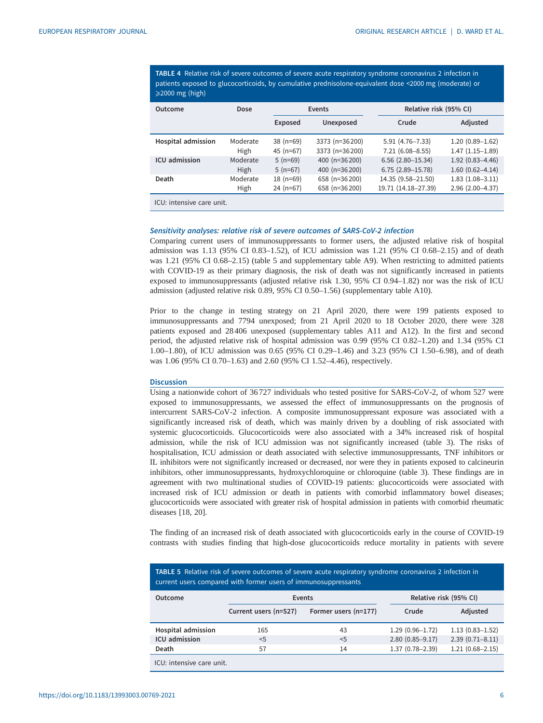<span id="page-5-0"></span>TABLE 4 Relative risk of severe outcomes of severe acute respiratory syndrome coronavirus 2 infection in patients exposed to glucocorticoids, by cumulative prednisolone-equivalent dose <2000 mg (moderate) or ⩾2000 mg (high)

| Outcome                   | Dose     |             | Events           | Relative risk (95% CI)  |                     |  |
|---------------------------|----------|-------------|------------------|-------------------------|---------------------|--|
|                           |          | Exposed     | <b>Unexposed</b> | Crude                   | Adjusted            |  |
| <b>Hospital admission</b> | Moderate | $38(n=69)$  | 3373 (n=36200)   | $5.91(4.76 - 7.33)$     | $1.20(0.89 - 1.62)$ |  |
|                           | High     | 45 $(n=67)$ | 3373 (n=36200)   | $7.21(6.08 - 8.55)$     | $1.47(1.15-1.89)$   |  |
| ICU admission             | Moderate | $5(n=69)$   | 400 (n=36 200)   | $6.56$ $(2.80 - 15.34)$ | $1.92(0.83 - 4.46)$ |  |
|                           | High     | $5(n=67)$   | 400 (n=36 200)   | $6.75(2.89 - 15.78)$    | $1.60(0.62 - 4.14)$ |  |
| Death                     | Moderate | $18$ (n=69) | 658 (n=36200)    | 14.35 (9.58-21.50)      | $1.83(1.08 - 3.11)$ |  |
|                           | High     | $24$ (n=67) | 658 (n=36200)    | 19.71 (14.18-27.39)     | 2.96 (2.00-4.37)    |  |
| ICU: intensive care unit. |          |             |                  |                         |                     |  |

## Sensitivity analyses: relative risk of severe outcomes of SARS-CoV-2 infection

Comparing current users of immunosuppressants to former users, the adjusted relative risk of hospital admission was 1.13 (95% CI 0.83–1.52), of ICU admission was 1.21 (95% CI 0.68–2.15) and of death was 1.21 (95% CI 0.68–2.15) (table 5 and [supplementary table A9\)](http://erj.ersjournals.com/lookup/doi/10.1183/13993003.00769-2021.figures-only#fig-data-supplementary-materials). When restricting to admitted patients with COVID-19 as their primary diagnosis, the risk of death was not significantly increased in patients exposed to immunosuppressants (adjusted relative risk 1.30, 95% CI 0.94–1.82) nor was the risk of ICU admission (adjusted relative risk 0.89, 95% CI 0.50–1.56) ([supplementary table A10\)](http://erj.ersjournals.com/lookup/doi/10.1183/13993003.00769-2021.figures-only#fig-data-supplementary-materials).

Prior to the change in testing strategy on 21 April 2020, there were 199 patients exposed to immunosuppressants and 7794 unexposed; from 21 April 2020 to 18 October 2020, there were 328 patients exposed and 28 406 unexposed ([supplementary tables A11 and A12](http://erj.ersjournals.com/lookup/doi/10.1183/13993003.00769-2021.figures-only#fig-data-supplementary-materials)). In the first and second period, the adjusted relative risk of hospital admission was 0.99 (95% CI 0.82–1.20) and 1.34 (95% CI 1.00–1.80), of ICU admission was 0.65 (95% CI 0.29–1.46) and 3.23 (95% CI 1.50–6.98), and of death was 1.06 (95% CI 0.70–1.63) and 2.60 (95% CI 1.52–4.46), respectively.

#### **Discussion**

Using a nationwide cohort of 36 727 individuals who tested positive for SARS-CoV-2, of whom 527 were exposed to immunosuppressants, we assessed the effect of immunosuppressants on the prognosis of intercurrent SARS-CoV-2 infection. A composite immunosuppressant exposure was associated with a significantly increased risk of death, which was mainly driven by a doubling of risk associated with systemic glucocorticoids. Glucocorticoids were also associated with a 34% increased risk of hospital admission, while the risk of ICU admission was not significantly increased [\(table 3](#page-4-0)). The risks of hospitalisation, ICU admission or death associated with selective immunosuppressants, TNF inhibitors or IL inhibitors were not significantly increased or decreased, nor were they in patients exposed to calcineurin inhibitors, other immunosuppressants, hydroxychloroquine or chloroquine ([table 3](#page-4-0)). These findings are in agreement with two multinational studies of COVID-19 patients: glucocorticoids were associated with increased risk of ICU admission or death in patients with comorbid inflammatory bowel diseases; glucocorticoids were associated with greater risk of hospital admission in patients with comorbid rheumatic diseases [\[18](#page-8-0), [20](#page-8-0)].

The finding of an increased risk of death associated with glucocorticoids early in the course of COVID-19 contrasts with studies finding that high-dose glucocorticoids reduce mortality in patients with severe

| TABLE 5 Relative risk of severe outcomes of severe acute respiratory syndrome coronavirus 2 infection in<br>current users compared with former users of immunosuppressants |                                  |                      |                     |                     |  |  |
|----------------------------------------------------------------------------------------------------------------------------------------------------------------------------|----------------------------------|----------------------|---------------------|---------------------|--|--|
| <b>Outcome</b>                                                                                                                                                             | Relative risk (95% CI)<br>Events |                      |                     |                     |  |  |
|                                                                                                                                                                            | Current users (n=527)            | Former users (n=177) | Crude               | Adjusted            |  |  |
| <b>Hospital admission</b>                                                                                                                                                  | 165                              | 43                   | $1.29(0.96 - 1.72)$ | $1.13(0.83 - 1.52)$ |  |  |
| <b>ICU</b> admission                                                                                                                                                       | $<$ 5                            | < 5                  | $2.80(0.85 - 9.17)$ | $2.39(0.71 - 8.11)$ |  |  |
| Death                                                                                                                                                                      | 57                               | 14                   | $1.37(0.78 - 2.39)$ | $1.21(0.68 - 2.15)$ |  |  |
| ICU: intensive care unit.                                                                                                                                                  |                                  |                      |                     |                     |  |  |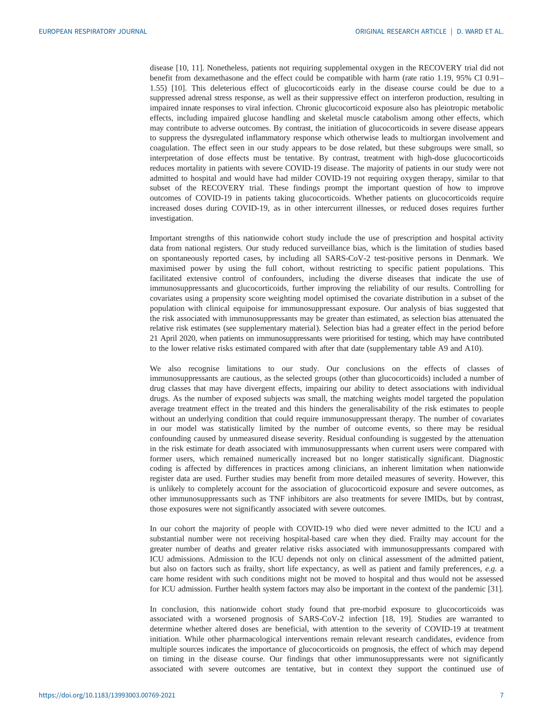disease [[10, 11](#page-7-0)]. Nonetheless, patients not requiring supplemental oxygen in the RECOVERY trial did not benefit from dexamethasone and the effect could be compatible with harm (rate ratio 1.19, 95% CI 0.91– 1.55) [\[10](#page-7-0)]. This deleterious effect of glucocorticoids early in the disease course could be due to a suppressed adrenal stress response, as well as their suppressive effect on interferon production, resulting in impaired innate responses to viral infection. Chronic glucocorticoid exposure also has pleiotropic metabolic effects, including impaired glucose handling and skeletal muscle catabolism among other effects, which may contribute to adverse outcomes. By contrast, the initiation of glucocorticoids in severe disease appears to suppress the dysregulated inflammatory response which otherwise leads to multiorgan involvement and coagulation. The effect seen in our study appears to be dose related, but these subgroups were small, so interpretation of dose effects must be tentative. By contrast, treatment with high-dose glucocorticoids reduces mortality in patients with severe COVID-19 disease. The majority of patients in our study were not admitted to hospital and would have had milder COVID-19 not requiring oxygen therapy, similar to that subset of the RECOVERY trial. These findings prompt the important question of how to improve outcomes of COVID-19 in patients taking glucocorticoids. Whether patients on glucocorticoids require increased doses during COVID-19, as in other intercurrent illnesses, or reduced doses requires further investigation.

Important strengths of this nationwide cohort study include the use of prescription and hospital activity data from national registers. Our study reduced surveillance bias, which is the limitation of studies based on spontaneously reported cases, by including all SARS-CoV-2 test-positive persons in Denmark. We maximised power by using the full cohort, without restricting to specific patient populations. This facilitated extensive control of confounders, including the diverse diseases that indicate the use of immunosuppressants and glucocorticoids, further improving the reliability of our results. Controlling for covariates using a propensity score weighting model optimised the covariate distribution in a subset of the population with clinical equipoise for immunosuppressant exposure. Our analysis of bias suggested that the risk associated with immunosuppressants may be greater than estimated, as selection bias attenuated the relative risk estimates (see [supplementary material](http://erj.ersjournals.com/lookup/doi/10.1183/13993003.00769-2021.figures-only#fig-data-supplementary-materials)). Selection bias had a greater effect in the period before 21 April 2020, when patients on immunosuppressants were prioritised for testing, which may have contributed to the lower relative risks estimated compared with after that date ([supplementary table A9 and A10](http://erj.ersjournals.com/lookup/doi/10.1183/13993003.00769-2021.figures-only#fig-data-supplementary-materials)).

We also recognise limitations to our study. Our conclusions on the effects of classes of immunosuppressants are cautious, as the selected groups (other than glucocorticoids) included a number of drug classes that may have divergent effects, impairing our ability to detect associations with individual drugs. As the number of exposed subjects was small, the matching weights model targeted the population average treatment effect in the treated and this hinders the generalisability of the risk estimates to people without an underlying condition that could require immunosuppressant therapy. The number of covariates in our model was statistically limited by the number of outcome events, so there may be residual confounding caused by unmeasured disease severity. Residual confounding is suggested by the attenuation in the risk estimate for death associated with immunosuppressants when current users were compared with former users, which remained numerically increased but no longer statistically significant. Diagnostic coding is affected by differences in practices among clinicians, an inherent limitation when nationwide register data are used. Further studies may benefit from more detailed measures of severity. However, this is unlikely to completely account for the association of glucocorticoid exposure and severe outcomes, as other immunosuppressants such as TNF inhibitors are also treatments for severe IMIDs, but by contrast, those exposures were not significantly associated with severe outcomes.

In our cohort the majority of people with COVID-19 who died were never admitted to the ICU and a substantial number were not receiving hospital-based care when they died. Frailty may account for the greater number of deaths and greater relative risks associated with immunosuppressants compared with ICU admissions. Admission to the ICU depends not only on clinical assessment of the admitted patient, but also on factors such as frailty, short life expectancy, as well as patient and family preferences, e.g. <sup>a</sup> care home resident with such conditions might not be moved to hospital and thus would not be assessed for ICU admission. Further health system factors may also be important in the context of the pandemic [\[31](#page-8-0)].

In conclusion, this nationwide cohort study found that pre-morbid exposure to glucocorticoids was associated with a worsened prognosis of SARS-CoV-2 infection [\[18](#page-8-0), [19\]](#page-8-0). Studies are warranted to determine whether altered doses are beneficial, with attention to the severity of COVID-19 at treatment initiation. While other pharmacological interventions remain relevant research candidates, evidence from multiple sources indicates the importance of glucocorticoids on prognosis, the effect of which may depend on timing in the disease course. Our findings that other immunosuppressants were not significantly associated with severe outcomes are tentative, but in context they support the continued use of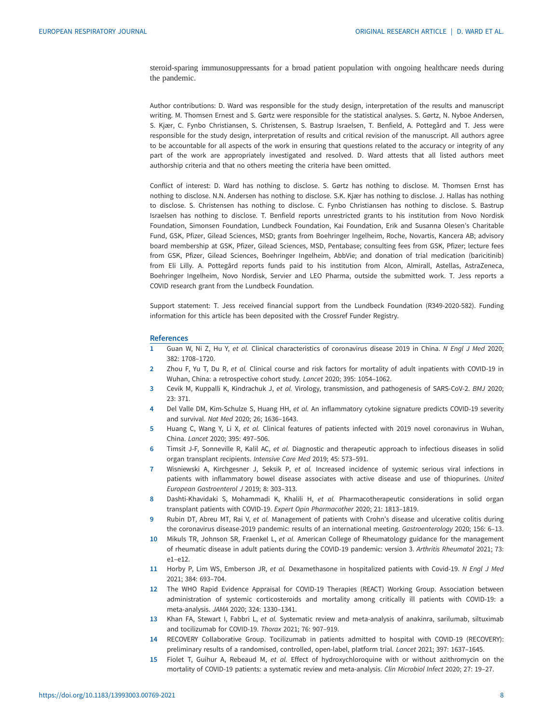<span id="page-7-0"></span>steroid-sparing immunosuppressants for a broad patient population with ongoing healthcare needs during the pandemic.

Author contributions: D. Ward was responsible for the study design, interpretation of the results and manuscript writing. M. Thomsen Ernest and S. Gørtz were responsible for the statistical analyses. S. Gørtz, N. Nyboe Andersen, S. Kjær, C. Fynbo Christiansen, S. Christensen, S. Bastrup Israelsen, T. Benfield, A. Pottegård and T. Jess were responsible for the study design, interpretation of results and critical revision of the manuscript. All authors agree to be accountable for all aspects of the work in ensuring that questions related to the accuracy or integrity of any part of the work are appropriately investigated and resolved. D. Ward attests that all listed authors meet authorship criteria and that no others meeting the criteria have been omitted.

Conflict of interest: D. Ward has nothing to disclose. S. Gørtz has nothing to disclose. M. Thomsen Ernst has nothing to disclose. N.N. Andersen has nothing to disclose. S.K. Kjær has nothing to disclose. J. Hallas has nothing to disclose. S. Christensen has nothing to disclose. C. Fynbo Christiansen has nothing to disclose. S. Bastrup Israelsen has nothing to disclose. T. Benfield reports unrestricted grants to his institution from Novo Nordisk Foundation, Simonsen Foundation, Lundbeck Foundation, Kai Foundation, Erik and Susanna Olesen's Charitable Fund, GSK, Pfizer, Gilead Sciences, MSD; grants from Boehringer Ingelheim, Roche, Novartis, Kancera AB; advisory board membership at GSK, Pfizer, Gilead Sciences, MSD, Pentabase; consulting fees from GSK, Pfizer; lecture fees from GSK, Pfizer, Gilead Sciences, Boehringer Ingelheim, AbbVie; and donation of trial medication (baricitinib) from Eli Lilly. A. Pottegård reports funds paid to his institution from Alcon, Almirall, Astellas, AstraZeneca, Boehringer Ingelheim, Novo Nordisk, Servier and LEO Pharma, outside the submitted work. T. Jess reports a COVID research grant from the Lundbeck Foundation.

Support statement: T. Jess received financial support from the Lundbeck Foundation (R349-2020-582). Funding information for this article has been deposited with the [Crossref Funder Registry.](https://www.crossref.org/services/funder-registry/)

#### References

- 1 Guan W, Ni Z, Hu Y, et al. Clinical characteristics of coronavirus disease 2019 in China. N Engl J Med 2020; 382: 1708–1720.
- 2 Zhou F, Yu T, Du R, et al. Clinical course and risk factors for mortality of adult inpatients with COVID-19 in Wuhan, China: a retrospective cohort study. Lancet 2020; 395: 1054–1062.
- 3 Cevik M, Kuppalli K, Kindrachuk J, et al. Virology, transmission, and pathogenesis of SARS-CoV-2. BMJ 2020; 23: 371.
- 4 Del Valle DM, Kim-Schulze S, Huang HH, et al. An inflammatory cytokine signature predicts COVID-19 severity and survival. Nat Med 2020; 26; 1636–1643.
- 5 Huang C, Wang Y, Li X, et al. Clinical features of patients infected with 2019 novel coronavirus in Wuhan, China. Lancet 2020; 395: 497–506.
- 6 Timsit J-F, Sonneville R, Kalil AC, et al. Diagnostic and therapeutic approach to infectious diseases in solid organ transplant recipients. Intensive Care Med 2019; 45: 573–591.
- 7 Wisniewski A, Kirchgesner J, Seksik P, et al. Increased incidence of systemic serious viral infections in patients with inflammatory bowel disease associates with active disease and use of thiopurines. United European Gastroenterol J 2019; 8: 303–313.
- 8 Dashti-Khavidaki S, Mohammadi K, Khalili H, et al. Pharmacotherapeutic considerations in solid organ transplant patients with COVID-19. Expert Opin Pharmacother 2020; 21: 1813–1819.
- 9 Rubin DT, Abreu MT, Rai V, et al. Management of patients with Crohn's disease and ulcerative colitis during the coronavirus disease-2019 pandemic: results of an international meeting. Gastroenterology 2020; 156: 6–13.
- 10 Mikuls TR, Johnson SR, Fraenkel L, et al. American College of Rheumatology guidance for the management of rheumatic disease in adult patients during the COVID-19 pandemic: version 3. Arthritis Rheumatol 2021; 73: e1–e12.
- 11 Horby P, Lim WS, Emberson JR, et al. Dexamethasone in hospitalized patients with Covid-19. N Engl J Med 2021; 384: 693–704.
- 12 The WHO Rapid Evidence Appraisal for COVID-19 Therapies (REACT) Working Group. Association between administration of systemic corticosteroids and mortality among critically ill patients with COVID-19: a meta-analysis. JAMA 2020; 324: 1330–1341.
- 13 Khan FA, Stewart I, Fabbri L, et al. Systematic review and meta-analysis of anakinra, sarilumab, siltuximab and tocilizumab for COVID-19. Thorax 2021; 76: 907–919.
- 14 RECOVERY Collaborative Group. Tocilizumab in patients admitted to hospital with COVID-19 (RECOVERY): preliminary results of a randomised, controlled, open-label, platform trial. Lancet 2021; 397: 1637–1645.
- 15 Fiolet T, Guihur A, Rebeaud M, et al. Effect of hydroxychloroquine with or without azithromycin on the mortality of COVID-19 patients: a systematic review and meta-analysis. Clin Microbiol Infect 2020; 27: 19–27.